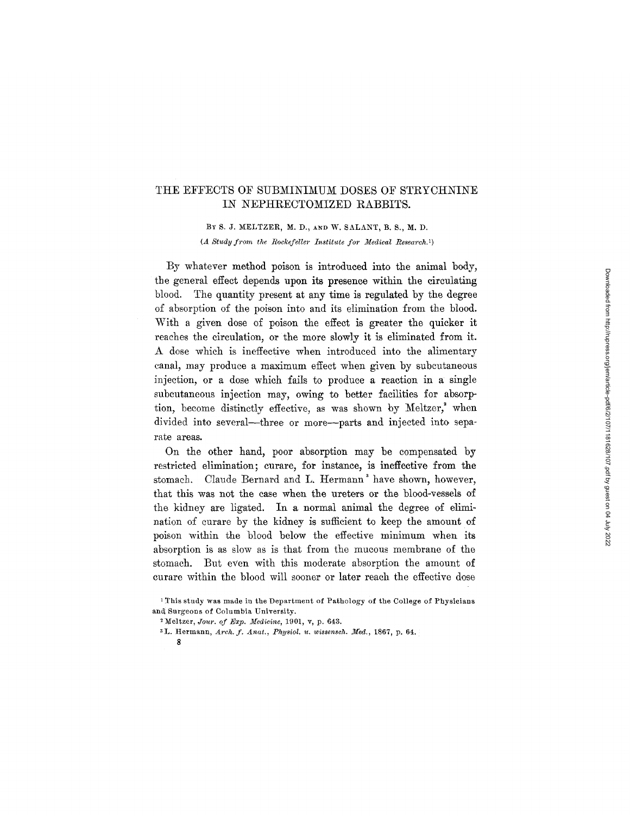## THE EFFECTS OF SUBMINIMUM DOSES OF STRYCHNINE IN NEPHRECTOMIZED RABBITS.

BY S. J. MELTZER, M. D., AND W. SALANT, B. S., M. D. *(A Study from the Rockefeller Institute for Medical Research.<sup>1</sup>)* 

By whatever method poison is introduced into the animal body, the general effect depends upon its presence within the circulating blood. The quantity present at any time is regulated by the degree of absorption of the poison into and its elimination from the blood. With a given dose of poison the effect is greater the quicker it reaches the circulation, or the more slowly it is eliminated from it. A dose which is ineffective when introduced into the alimentary canal, may produce a maximum effect when given by subcutaneous injection, or a dose which fails to produce a reaction in a single subcutaneous injection may, owing to better facilities for absorption, become distinctly effective, as was shown by  $Meltzer,^2$  when divided into several—three or more—parts and injected into separate areas.

On the other hand, poor absorption may be compensated by restricted elimination; curare, for instance, is ineffective from the stomach. Claude Bernard and L. Hermann' have shown, however, that this was not the case when the ureters or the blood-vessels of the kidney are ligated. In a normal animal the degree of elimination of curare by the kidney is sufficient to keep the amount of poison within the blood below the effective minimum when its absorption is as slow as is that from the mucous membrane of the stomach. But even with this moderate absorption the amount of curare within the blood will sooner or later reach the effective dose

- <sup>3</sup>L. Hermann, *Arch. f. Anat., Physiol. u. wissensch. Med.*, 1867, p. 64.
	- *8*

<sup>1</sup> This study was made in the Department of Pathology of the College of Physicians and Surgeons of Columbia University.

<sup>&</sup>lt;sup>2</sup> Meltzer, *Jour. of Exp. Medicine*, 1901, v, p. 643.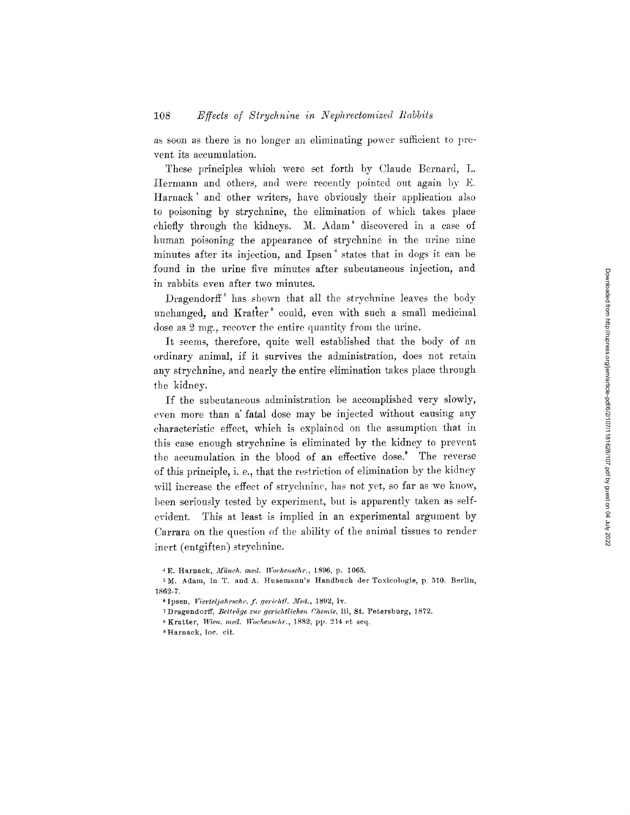as soon as there is no longer an eliminating power sufficient to prevent its accumulation.

These principles whioh were set forth by Claude Bernard, L. Hermann and others, and were recently pointed out again by E. Harnack<sup>\*</sup> and other writers, have obviously their application also to poisoning by strychnine, the elimination of which takes place chiefly through the kidneys. M. Adam<sup>3</sup> discovered in a case of human poisoning the appearance of strychnine in the urine nine minutes after its injection, and Ipsen ° states that in dogs it can be found in the urine five minutes after subcutaneous injection, and in rabbits even after two minutes.

Dragendorff<sup> $\text{ }^{\text{}}$ </sup> has shown that all the strychnine leaves the body unchanged, and Kratter<sup>s</sup> could, even with such a small medicinal dose as 2 mg., recover the entire quantity from the urine.

It seems, therefore, quite well established that the body of an ordinary animal, if it survives the administration, does not retain any strychnine, and nearly the entire elimination takes place through the kidney.

If the subcutaneous administration be accomplished very slowly, even more than a fatal dose may be injected without causing any characteristic effect, which is explained on the assumption that in this ease enough strychnine is eliminated by the kidney to prevent the accumulation in the blood of an effective dose.' The reverse of this principle, i. e., that the restriction of elimination by the kidney will increase the effect of strychnine, has not yet, so far as we know, been seriously tested by experiment, but is apparently taken as selfevident. This at least is implied in an experimental argument by Carrara on the question of the ability of the animal tissues to render inert (entgiften) strychnine.

<sup>4</sup> E. Harnack~ *Jfiinch. reed. Wochenschr.,* 1896, p. 1065.

<sup>&</sup>lt;sup>5</sup>M. Adam, in T. and A. Husemann's Handbuch der Toxicologie, p. 510. Berlin, 1862-7.

<sup>&</sup>lt;sup>6</sup> Ipsen, *Vierteljahrschr. f. gerichtl. Med.*, 1892, iv.

<sup>&</sup>lt;sup>7</sup> Dragendorff, *Beiträge zur gerichtlichen Chemie*, iii, St. Petersburg, 1872.

 $K$ ratter, *Wien. med. Wochenschr.*, 1882, pp. 214 et seq.

<sup>9</sup> Harnack, loe. cir.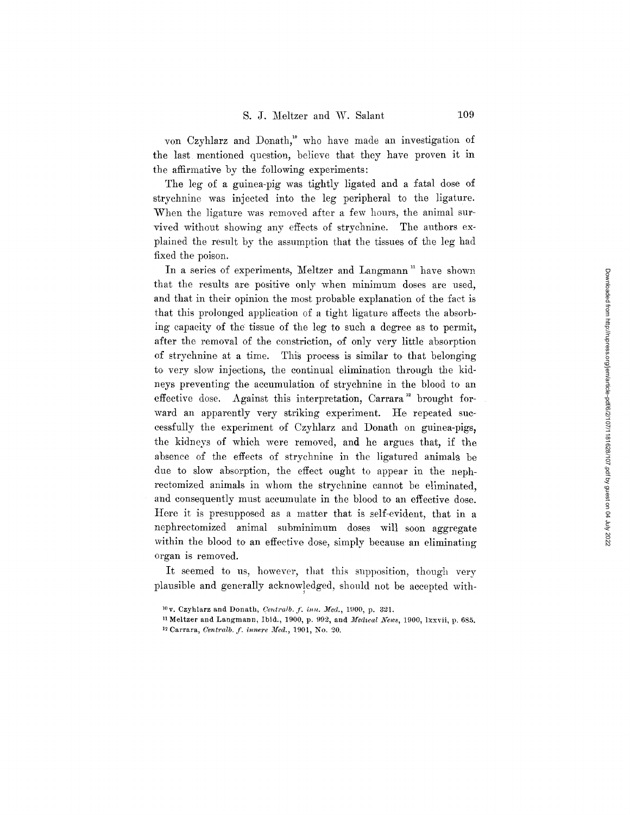von Czyhlarz and Donath,<sup>10</sup> who have made an investigation of the last mentioned question, believe that. they have proven it in the affirmative by the following experiments:

The leg of a guinea-pig was tightly ligated and a fatal dose of strychnine was injected into the leg peripheral to the ligature. When the ligature was removed after a few hours, the animal survived without showing any effects of strychnine. The authors explained the result by the assumption that the tissues of the leg had fixed the poison.

In a series of experiments, Meltzer and Langmann<sup>"</sup> have shown that the results are positive only when minimum doses are used, and that in their opinion the most probable explanation of the fact is that this prolonged application of a tight ligature affects the absorbing capacity of the tissue of the leg to such a degree as to permit, after the removal of the constriction, of only very little absorption of strychnine at a time. This process is similar to that belonging to. very slow injections, the continual elimination through the kidneys preventing the accumulation of strychnine in the blood to an effective dose. Against this interpretation, Carrara<sup>12</sup> brought forward an apparently very striking experiment. He repeated successfully the experiment of Czyhlarz and Donath on guinea-pigs, the kidneys of which were removed, and he argues that, if the absence of the effects of strychnine in the ligatured animals be due to slow absorption, the effect ought to appear in the nephrectomized animals in whom the strychnine cannot be eliminated. and consequently must accumulate in the blood to an effective dose. Here it is presupposed as a matter that is self-evident, that in a nephrectomized animal subminimum doses will soon aggregate within the blood to an effective dose, simply because an eliminating organ is removed.

It seemed to us, however, that this supposition, though very plausible and generally acknowledged, should not be accepted with-

 $^{10}$ v. Czyhlarz and Donath, *Centralb. f. inn. Med.*, 1900, p. 321.

<sup>11</sup> Meltzer and Langmann, Ibid., 1900, p. 992, and *3fedwal News,* 1900, lxxvii, p. 685. <sup>12</sup> Carrara, *Centralb. f. innere Med.*, 1901, No. 20.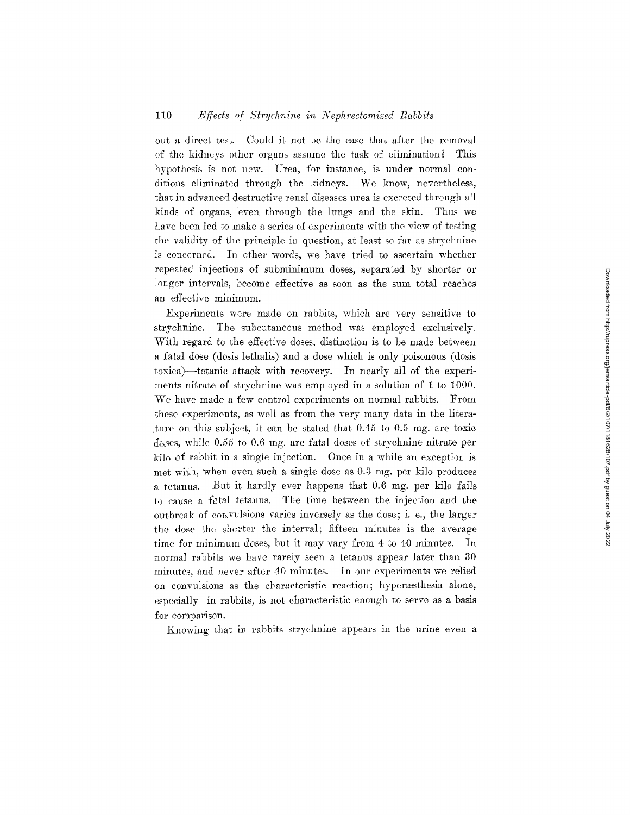## 110 *Nffects of Strychnine in Nephrectomized Rabbits*

out a direct test. Could it not be the case that after the removal of the kidneys other organs assume the task of elimination? This hypothesis is not new. Urea, for instance, is under normal conditions eliminated through the kidneys. We know, nevertheless, that in advanced destructive renal diseases urea is excreted through all kinds of organs, even through the lungs and the skin. Thus we have been led to make a series of experiments with the view of testing the validity of the principle in question, at least so far as strychnine is concerned. In other words, we have tried to ascertain whether repeated injections of subminimum doses, separated by shorter or longer intervals, beeome effective as soon as the sum total reaches an effective minimum.

Experiments were made on rabbits, which are very sensitive to strychnine. The subcutaneous method was employed exclusively. With regard to the effective doses, distinction is to be made between a fatal dose (dosis lethalis) and a dose which is only poisonous (dosis toxica)-tetanic attack with recovery. In nearly all of the experiments nitrate of strychnine was employed in a solution of 1 to 1000. We have made a few control experiments on normal rabbits. From these experiments, as well as from the very many data in the litera ture on this subject, it can be stated that  $0.45$  to  $0.5$  mg. are toxic dc, ses, while 0.55 to 0.6 mg. are fatal doses of strychnine nitrate per kilo of rabbit in a single injection. Once in a while an exception is met wi $\mu$ h, when even such a single dose as 0.3 mg. per kilo produces a tetanus. But it hardly ever happens that 0.6 mg. per kilo fails to cause a fittal tetanus. The time between the injection and the outbreak of convulsions varies inversely as the dose; i. e., the larger the dose the shorter the interval; fifteen minutes is the average time for minimum doses, but it may vary from 4 to 40 minutes. In normal rabbits we have rarely seen a tetanus appear later than 30 minutes, and never after 40 minutes. In our experiments we relied on convulsions as the characteristic reaction; hyperæsthesia alone, especially in rabbits, is not characteristic enough to serve as a basis for comparison.

Knowing that in rabbits strychnine appears in the urine even a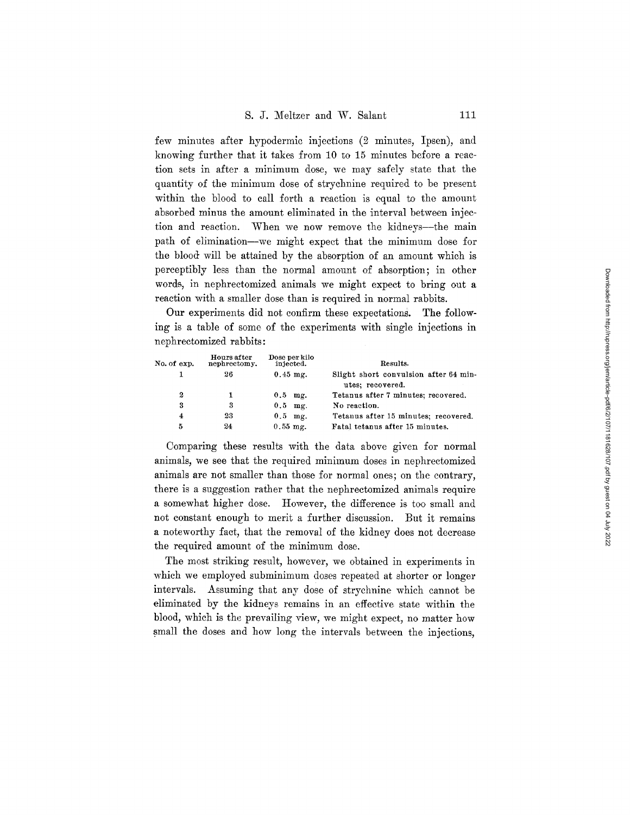few minutes after hypodermic injections (2 minutes, Ipsen), and knowing further that it takes from 10 to 15 minutes before a reaction sets in after a minimum dose, we may safely state that the quantity of the minimum dose of strychnine required to be present within the blood to call forth a reaction is equal to the amount absorbed minus the amount eliminated in the interval between injection and reaction. When we now remove the kidneys--the main path of elimination--we might expect that the minimum dose for the blood will be attained by the absorption of an amount which is perceptibly less than the normal amount of absorption; in other words, in nephrectomized animals we might expect to bring out a reaction with a smaller dose than is required in normal rabbits.

Our experiments did not confirm these expectations. The following is a table of some of the experiments with single injections in nephrectomized rabbits:

| No. of exp. | Hours after<br>nephrectomy. | Dose per kilo<br>injected. | Results.                                                  |
|-------------|-----------------------------|----------------------------|-----------------------------------------------------------|
|             | 26                          | $0.45$ mg.                 | Slight short convulsion after 64 min-<br>utes; recovered. |
| 2           |                             | $0.5$ mg.                  | Tetanus after 7 minutes; recovered.                       |
| 3           | 3                           | $0.5$ mg.                  | No reaction.                                              |
| 4           | 23                          | $0.5$ mg.                  | Tetanus after 15 minutes; recovered.                      |
| 5           | 24                          | $0.55$ mg.                 | Fatal tetanus after 15 minutes.                           |

Comparing these results with the data above given for normal animals, we see that the required minimum doses in nephrectomized animals are not smaller than those for normal ones; on the contrary, there is a suggestion rather that the nephreetomized animals require a somewhat higher dose. However, the difference is too small and not constant enough to merit a further discussion. But it remains a noteworthy fact, that the removal of the kidney does not decrease the required amount of the minimum dose.

The most striking result, however, we obtained in experiments in which we employed subminimum doses repeated at shorter or longer intervals. Assuming that any dose of strychnine which cannot be eliminated by the kidneys remains in an effective state within the blood, which is the prevailing view, we might expect, no matter how small the doses and how long the intervals between the injections,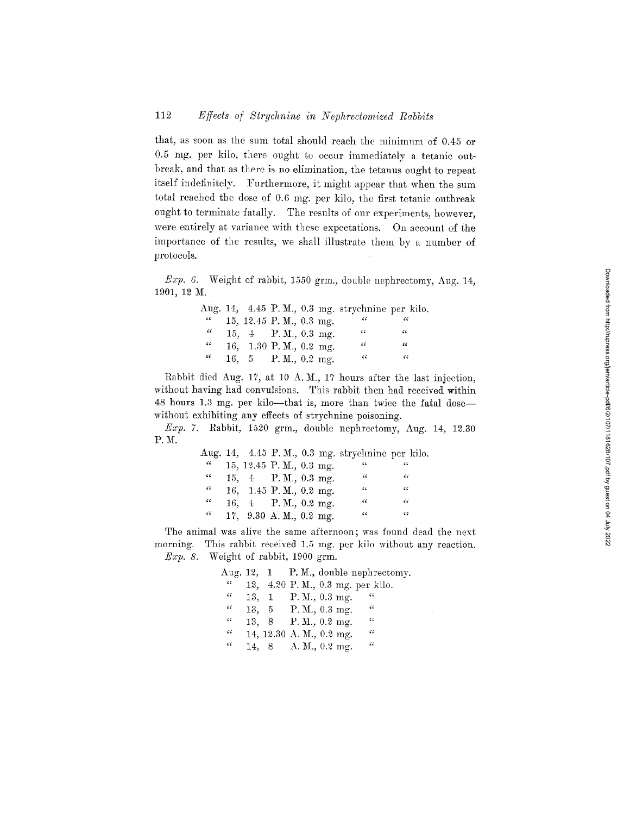## 112 *Effects of Strychnine in Nephrectomized Rabbits*

that, as soon as the sum total should reach the minimum of 0.45 or 0.5 mg. per kilo, there ought to occur immediately a tetanic outbreak, and that as there is no elimination, the tetanus ought to repeat itself indefinitely. Furthermore, it might appear that when the sum total reached the dose of 0.6 mg. per kilo, the first tetanic outbreak ought to terminate fatally. The results of our experiments, however, were entirely at variance with these expectations. On account of the importance of the results, we shall illustrate them by a number of protocols.

Exp. 6. Weight of rabbit, 1550 grm., double nephrectomy, Aug. 14, 1901, 12 M.

|            |  |                         |  | Aug. 14, 4.45 P.M., 0.3 mg. strychnine per kilo. |            |  |
|------------|--|-------------------------|--|--------------------------------------------------|------------|--|
| $\epsilon$ |  | 15, 12.45 P.M., 0.3 mg. |  |                                                  |            |  |
| $\epsilon$ |  | 15, 4 P.M., 0.3 mg.     |  | 66                                               | $\epsilon$ |  |
| $\epsilon$ |  | 16, 1.30 P.M., 0.2 mg.  |  | $\epsilon$                                       | "          |  |
| "          |  | 16, 5 P.M., 0.2 mg.     |  | 46                                               | $\epsilon$ |  |

Rabbit died Aug. 17, at 10 A.M., 17 hours after the last injection, without having had convulsions. This rabbit then had received within 48 hours 1.3 rag. per kilo--that is, more than twice the fatal dose- without exhibiting any effects of strychnine poisoning.

Exp. 7. Rabbit, 1520 grm., double nephrectomy, Aug. 14, 12.30 P.M.

|                    |  |                         |  | Aug. 14, 4.45 P.M., 0.3 mg. strychnine per kilo. |     |
|--------------------|--|-------------------------|--|--------------------------------------------------|-----|
| $\epsilon$         |  | 15, 12.45 P.M., 0.3 mg. |  | $\epsilon$                                       | 77  |
| $\epsilon$         |  | 15, 4 P.M., 0.3 mg.     |  | - 66                                             | -66 |
| $\epsilon$         |  | 16, 1.45 P.M., 0.2 mg.  |  | 66                                               | 66  |
| $\epsilon\epsilon$ |  | 16, 4 P.M., 0.2 mg.     |  | $\epsilon$                                       | 66  |
| $\epsilon\epsilon$ |  | 17, 9.30 A.M., 0.2 mg.  |  | $\zeta \zeta$                                    | "   |

The animal was alive the same afternoon; was found dead the next morning. This rabbit received 1.5 mg. per kilo without any reaction.  $Exp. 8.$  Weight of rabbit, 1900 grm.

|                    |  | Aug. 12, 1 P.M., double nephrectomy.         |
|--------------------|--|----------------------------------------------|
| $\sqrt{6}$         |  | 12, 4.20 P.M., 0.3 mg. per kilo.             |
| $\epsilon$         |  | -66<br>13, 1 P.M., 0.3 mg.                   |
| $\epsilon\epsilon$ |  | - 66<br>13, 5 P.M., $0.3 \text{ mg}$ .       |
| $\epsilon$         |  | $\epsilon$<br>13, 8 P.M., $0.2 \text{ mg}$ . |
| $\epsilon$         |  | $\epsilon$<br>14, 12.30 A. M., 0.2 mg.       |
| $\epsilon$         |  | 66<br>14, 8 A.M., 0.2 mg.                    |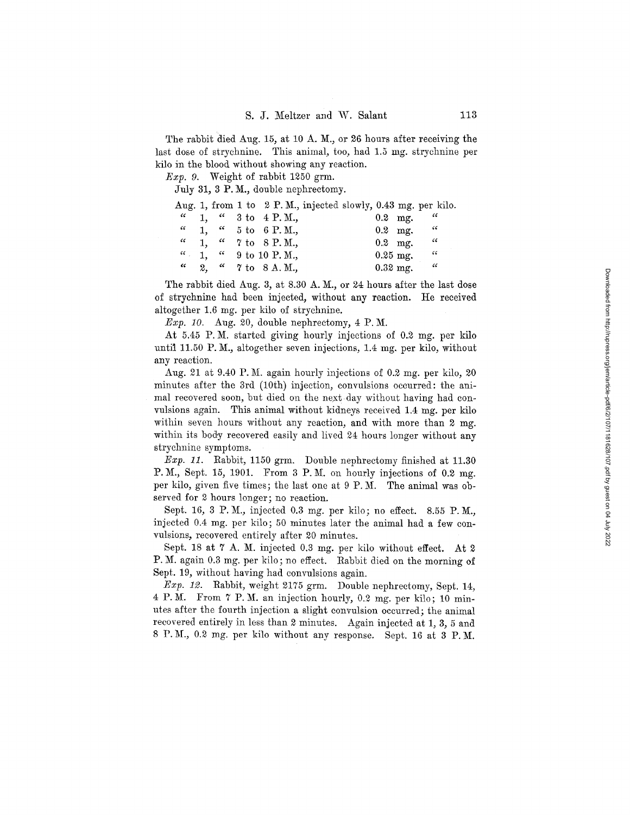The rabbit died Aug. 15, at 10 A. M., or 26 hours after receiving the last dose of strychnine. This animal, too, had 1.5 mg. strychnine per kilo in the blood without showing any reaction.

*Exp. 9.* Weight of rabbit 1250 grm.

July 31, 3 P.M., double nephrectomy.

|            |  |  |                                             |  |            | Aug. 1, from 1 to $2 \text{ P. M.}$ , injected slowly, 0.43 mg. per kilo. |
|------------|--|--|---------------------------------------------|--|------------|---------------------------------------------------------------------------|
| $\epsilon$ |  |  | 1, $\frac{1}{2}$ 3 to 4 P.M.,               |  | $0.2$ mg.  | - 66                                                                      |
|            |  |  | $\frac{a}{1}$ , $\frac{a}{5}$ to 6 P.M.,    |  |            | $0.2 \text{ mg.}$ "                                                       |
|            |  |  | $\frac{a}{1}$ , $\frac{a}{7}$ to 8 P.M.,    |  | $0.2$ mg.  | - 66                                                                      |
|            |  |  | $\frac{a}{1}$ , $\frac{a}{1}$ 9 to 10 P.M., |  | $0.25$ mg. | - 66                                                                      |
| $\epsilon$ |  |  | 2. " 7 to 8 A.M.,                           |  | $0.32$ mg. | - 46                                                                      |

The rabbit died Aug. 3, at 8.30 A. M., or 24 hours after the last dose of strychnine had been injected, without any reaction. He received altogether 1.6 mg. per kilo of strychnine.

*.Exp. 10.* Aug. 20, double nephreetomy, 4 P.M.

At 5.45 P.M. started giving hourly injections of 0.2 mg. per kilo until 11.50 P.M., altogether seven injections, 1.4 mg. per kilo, without any reaction.

Aug. 21 at 9.40 P.M. again hourly injections of 0.2 mg. per kilo, 20 minutes after the 3rd (10th) injection, convulsions occurred: the animal recovered soon, but died on the next day without having had convulsions again. This animal without kidneys received 1.4 mg, per kilo within seven hours without any reaction, and with more than 2 mg. within its body recovered easily and lived 24 hours longer without any strychnine symptoms.

*Exp. 11.* Rabbit, 1150 grm. Double nephrectomy finished at 11.30 P.M., Sept. 15, 1901. From 3 P.M. on hourly injections of  $0.2 \text{ mg}$ . per kilo, given five times; the last one at 9 P.M. The animal was observed for 2 hours longer; no reaction.

Sept. 16, 3 P.M., injected 0.3 mg. per kilo; no effect. 8.55 P.M., injected 0.4 mg. per kilo; 50 minutes later the animal had a few convulsions, recovered entirely after 20 minutes.

Sept. 18 at 7 A. M. injected 0.3 mg. per kilo without effect. At 2 P. M. again 0.3 mg. per kilo; no effect. Rabbit died on the morning of Sept. 19, without having had convulsions again.

*Exp. 12.* Rabbit, weight 2175 grm. Double nephrectomy, Sept. 14, 4 P.M. From 7 P.M. an injection hourly, 0.2 mg. per kilo; 10 minutes after the fourth injection a slight convulsion occurred; the animal recovered entirely in less than 2 minutes. Again injected at 1, 3, 5 and 8 P.M., 0.2 mg. per kilo without any response. Sept. 16 at 3 P.M.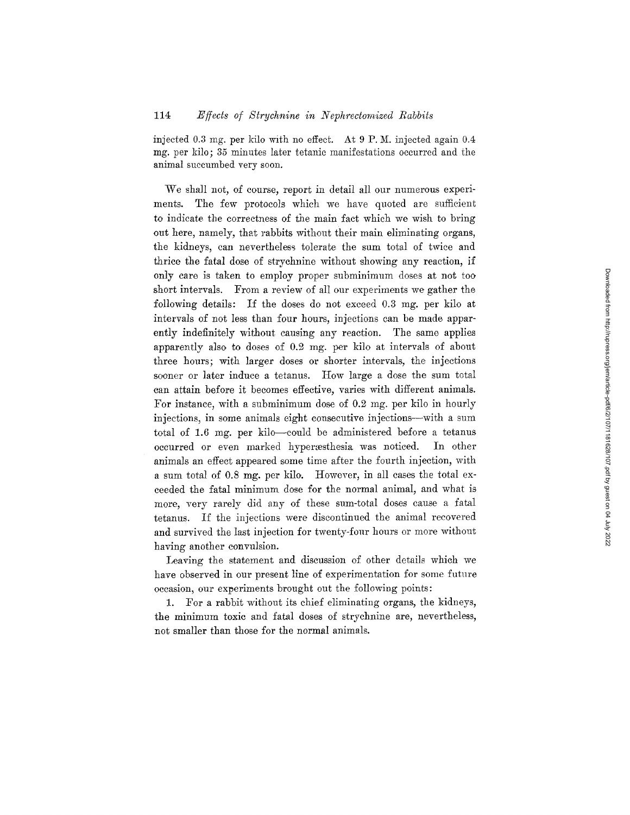injected 0.3 mg. per kilo with no effect. At  $9$  P.M. injected again 0.4 mg. per kilo; 35 minutes later tetanic manifestations occurred and the animal succumbed very soon.

We shall not, of course, report in detail all our numerous experiments. The few protocols which we have quoted are sufficient to indicate the correctness of the main fact which we wish to bring out here, naraely, that rabbits without their main eliminating organs, the kidneys, can nevertheless tolerate the sum total of twice and thrice the fatal dose of strychnine without showing any reaction, if only care is taken to employ proper subminimum doses at not too short intervals. From a review of all our experiments we gather the following details: If the doses do not exceed 0.3 mg, per kilo at intervals of not less than four hours, injections can be made apparently indefinitely without causing any reaction. The same applies apparently also to doses of 0.2 mg. per kilo at intervals of about three hours; with larger doses or shorter intervals, the injections sooner or later induce a tetanus. How large a dose the sum total can attain before it becomes effective, varies with different animals. For instance, with a subminimum dose of 0.2 mg. per kilo in hourly injections, in some animals eight consecutive injections--with a sum total of 1.6 mg. per kilo-could be administered before a tetanus occurred or even marked hyperæsthesia was noticed. In other animals an effect appeared some time after the fourth injection, with a sum total of 0.8 mg. per kilo. However, in all cases the total exceeded the fatal minimum dose for the normal animal, and what is more, very rarely did any of these sum-total doses cause a fatal tetanus. If the injections were discontinued the animal recovered and survived the last injection for twenty-four hours or more without having another convulsion.

Leaving the statement and discussion of other details which we have observed in our present line of experimentation for some future occasion, our experiments brought out the following points:

1. For a rabbit without its chief eliminating organs, the kidneys, the minimum toxic and fatal doses of strychnine are, nevertheless, not smaller than those for the normal animals.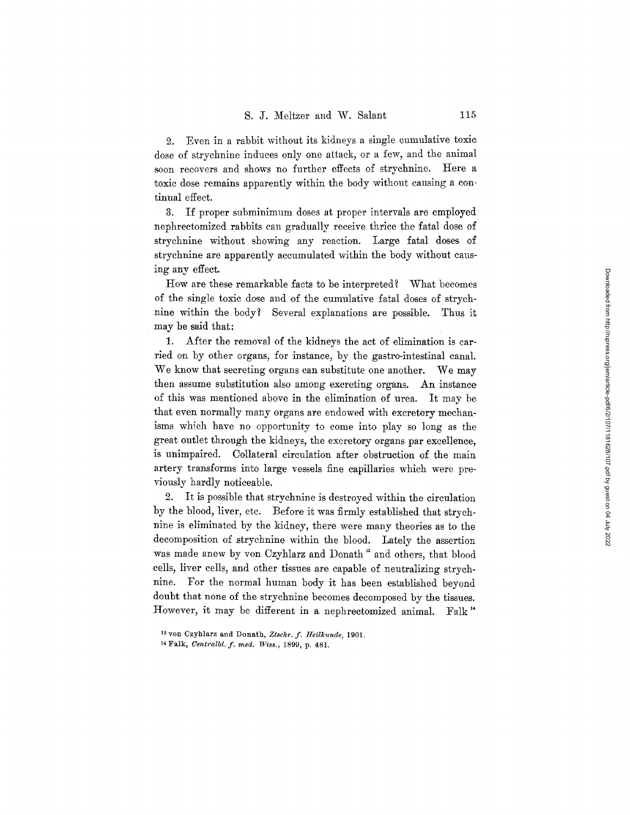2. Even in a rabbit without its kidneys a single cumulative toxic dose of strychnine induces only one attack, or a few, and the animal soon recovers and shows no further effects of strychnine. Here a toxic dose remains apparently within the body without causing a continual effect.

3. If proper subminimum doses at proper intervals are employed nephrectomized rabbits can gradually receive thrice the fatal dose of strychnine without showing any reaction. Large fatal doses of strychnine are apparently accumulated within the body without cansing any effect.

How are these remarkable facts to be interpreted? What becomes of the single toxic dose and of the cumulative fatal doses of strychnine within the body? Several explanations are possible. Thus it may be said that:

1. After the removal of the kidneys the act of elimination is carried on by other organs, for instance, by the gastro-intestinal canal. We know that secreting organs can substitute one another. We may then assume substitution also among excreting organs. An instance of this was mentioned above in the elimination of urea. It may be that even normally many organs are endowed with excretory mechanisms which have no opportunity to come into play so long as the great outlet through the kidneys, the excretory organs par excellence, is unimpaired. Collateral circulation after obstruction of the main artery transforms into large vessels fine capillaries which were previously hardly noticeable.

2. It is possible that strychnine is destroyed within the circulation by the blood, liver, etc. Eefore it was firmly established that strychnine is eliminated by the kidney, there were many theories as to the decomposition of strychnine within the blood. Lately the assertion was made anew by von Czyhlarz and Donath<sup>13</sup> and others, that blood cells, liver cells, and other tissues are capable of neutralizing strychnine. For the normal human body it has been established beyond doubt that none of the strychnine becomes decomposed by the tissues. However, it may be different in a nephrectomized animal. Falk"

<sup>&</sup>lt;sup>13</sup> von Czyhlarz and Donath, Ztschr. f. Heilkunde, 1901.

<sup>&</sup>lt;sup>14</sup> Falk, *Centralbl. f. med. Wiss.*, 1899, p. 481.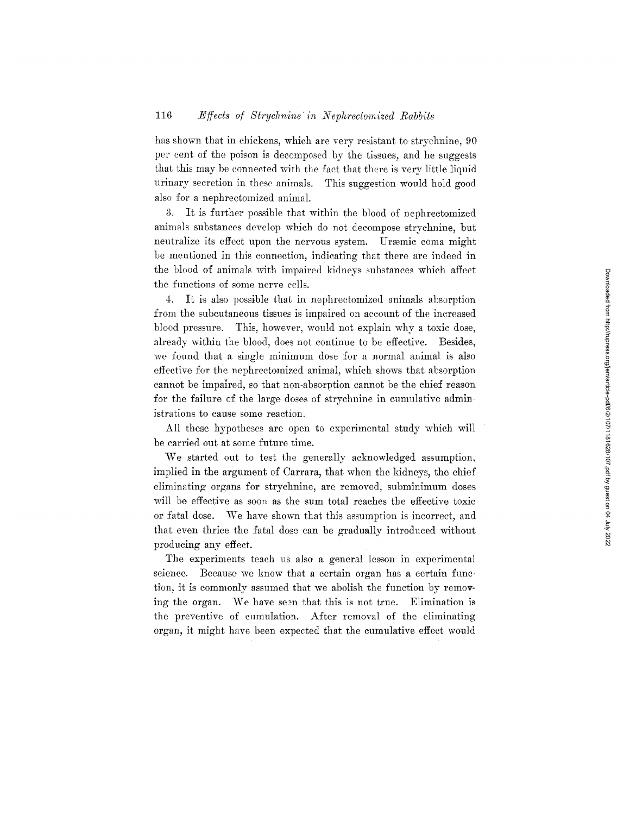has shown that in chickens, which are very resistant to strychnine, 90 per cent of the poison is decomposed by the tissues, and he suggests that this may be connected with the fact that there is very little liquid urinary secretion in these animals. This suggestion would hold good also for a nephrectomized animal.

3. It is further possible that within the blood of nephrectomized animals substances develop which do not decompose strychnine, but neutralize its effect upon the nervous system. Uræmic coma might be mentioned in this connection, indicating that there are indeed in the blood of animals with impaired kidneys substances which affect the functions of some nerve cells.

4. It is also possible that in nephrectomized animals absorption from the subcutaneous tissues is impaired on account of the increased blood pressure. This, however, would not explain why a toxic dose, already within the blood, does not continue to be effective. Besides, we found that a single minimum dose for a normal animal is also effective for the nephrectomized animal, which shows that absorption cannot be impalred, so that non-absorption cannot be the chief reason for the failure of the large doses of strychnine in cumulative administrations to cause some reaction.

All these hypotheses are open to experimental study which will be carried out at some future time.

We started out to test the generally acknowledged assumption, implied in the argument of Carrara, that when the kidneys, the chief eliminating organs for strychnine, are removed, subminimum doses will be effective as soon as the sum total reaches the effective toxic or fatal dose. We have shown that this assumption is incorrect, and that even thrice the fatal dose can be gradually introduced without producing any effect.

The experiments teach us also a general lesson in experimental science. Because we know that a certain organ has a certain function, it is commonly assumed that we abolish the function by removing the organ. We have seen that this is not true. Elimination is the preventive of cumulation. After removal of the eliminating organ, it might have been expected that the cumulative effect would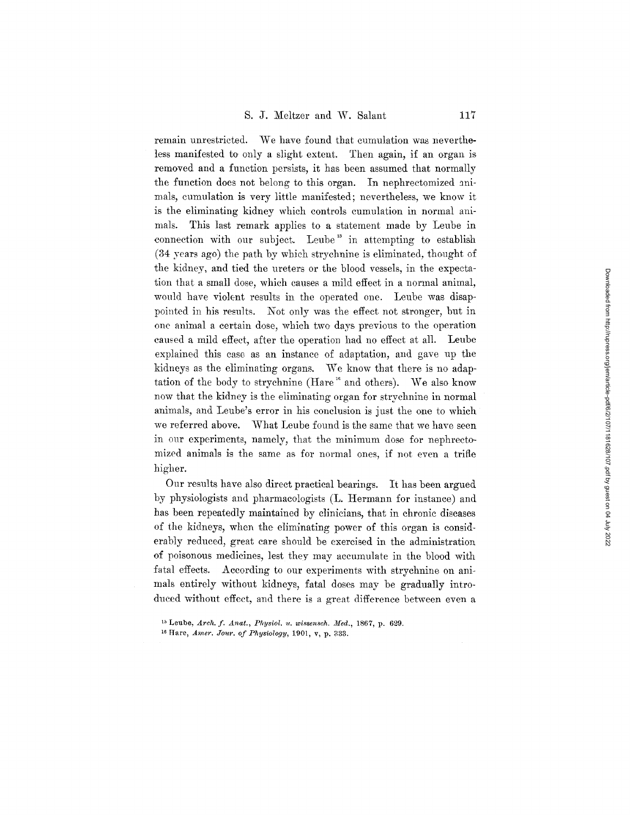remain unrestricted. We have found that cumulation was nevertheless manifested to only a slight extent. Then again, if an organ is removed and a function persists, it has been assumed that normally the function does not belong to this organ. In nephrectomized animals, cumulation is very little manifested; nevertheless, we know it is the eliminating kidney which controls cumulation in normal animals. This last remark applies to a statement made by Leube in connection with our subject. Leube<sup>15</sup> in attempting to establish (34 years ago) the path by which strychnine is eliminated, thought of the kidney, and tied the ureters or the blood vessels, in the expectation that a small dose, which causes a mild effect in a normal animal, would have violent results in the operated one. Leube was disappointed in his results. Not only was the effect not stronger, but in one animal a certain dose, which two days previous to the operation caused a mild effect, after the operation had no effect at all. Leube explained this case as an instance of adaptation, and gave up the kidneys as the eliminating organs. We know that there is no adaptation of the body to strychnine (Hare" and others). We also know now that the kidney is the eliminating organ for strychnine in normal animals, and Leube's error in his conclusion is just the one to which we referred above. What Leube found is the same that we have seen in our experiments, namely, that the minimum dose for nephrectomized animals is the same as for normal ones, if not even a trifle higher.

Our results have also direct practical bearings. It has been argued by physiologists and pharmacologists (L. Hermann for instance) and has been repeatedly maintained by clinicians, that in chronic diseases of the kidneys, when the eliminating power of this organ is considerably reduced, great care should be exercised in the administration of poisonous medicines, lest they may accumulate in the blood with fatal effects. According to our experiments with strychnine on animals entirely without kidneys, fatal doses may be gradually introduced without effect, and there is a great difference between even a

<sup>&</sup>lt;sup>15</sup> Leube, Arch. f. Anat., Physiol. u. wissensch. Med., 1867, p. 629.

<sup>&</sup>lt;sup>16</sup> Hare, *Amer. Jour. of Physiology*, 1901, v, p. 333.